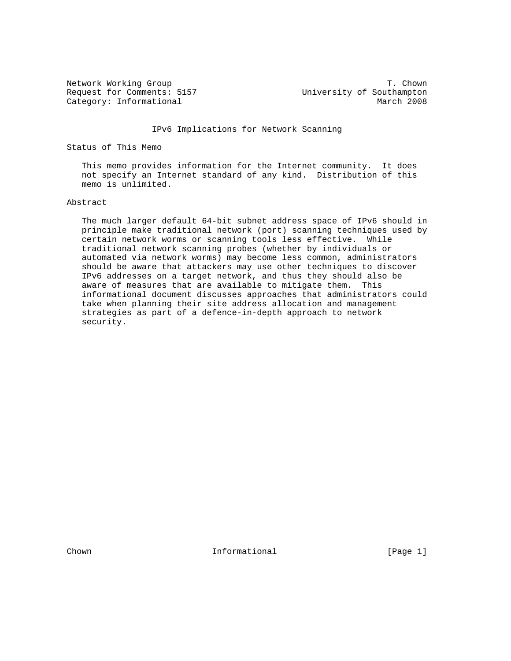Request for Comments: 5157 University of Southampton Category: Informational March 2008

Network Working Group T. Chown

IPv6 Implications for Network Scanning

Status of This Memo

 This memo provides information for the Internet community. It does not specify an Internet standard of any kind. Distribution of this memo is unlimited.

#### Abstract

 The much larger default 64-bit subnet address space of IPv6 should in principle make traditional network (port) scanning techniques used by certain network worms or scanning tools less effective. While traditional network scanning probes (whether by individuals or automated via network worms) may become less common, administrators should be aware that attackers may use other techniques to discover IPv6 addresses on a target network, and thus they should also be aware of measures that are available to mitigate them. This informational document discusses approaches that administrators could take when planning their site address allocation and management strategies as part of a defence-in-depth approach to network security.

Chown **Informational** Informational [Page 1]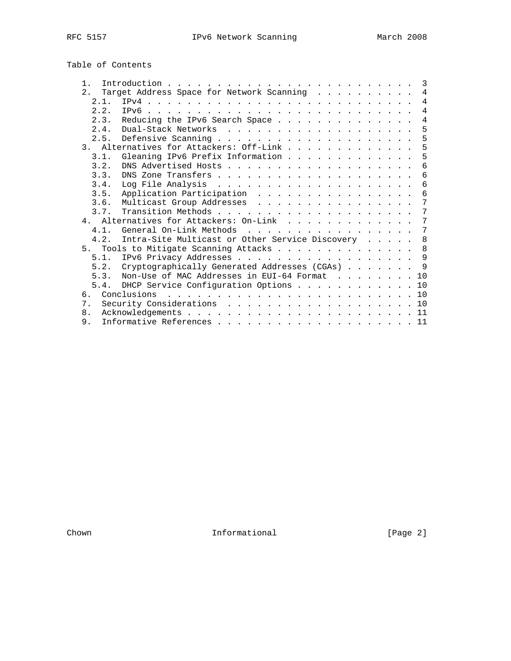Table of Contents

| $1$ . |                                                                                                                                                                                                                                                                                                                                                                                                        |  |  | 3              |
|-------|--------------------------------------------------------------------------------------------------------------------------------------------------------------------------------------------------------------------------------------------------------------------------------------------------------------------------------------------------------------------------------------------------------|--|--|----------------|
| 2.    | Target Address Space for Network Scanning                                                                                                                                                                                                                                                                                                                                                              |  |  | 4              |
| 2.1.  |                                                                                                                                                                                                                                                                                                                                                                                                        |  |  | 4              |
| 2.2.  | TPv6.                                                                                                                                                                                                                                                                                                                                                                                                  |  |  | $\overline{4}$ |
| 2.3.  | Reducing the IPv6 Search Space                                                                                                                                                                                                                                                                                                                                                                         |  |  | 4              |
| 2.4.  |                                                                                                                                                                                                                                                                                                                                                                                                        |  |  | 5              |
| 2.5.  |                                                                                                                                                                                                                                                                                                                                                                                                        |  |  | 5              |
|       | 3. Alternatives for Attackers: Off-Link                                                                                                                                                                                                                                                                                                                                                                |  |  | 5              |
| 3.1.  | Gleaning IPv6 Prefix Information                                                                                                                                                                                                                                                                                                                                                                       |  |  | 5              |
| 3.2.  |                                                                                                                                                                                                                                                                                                                                                                                                        |  |  | 6              |
| 3.3.  |                                                                                                                                                                                                                                                                                                                                                                                                        |  |  | 6              |
| 3.4.  |                                                                                                                                                                                                                                                                                                                                                                                                        |  |  | 6              |
| 3.5.  | Application Participation                                                                                                                                                                                                                                                                                                                                                                              |  |  | 6              |
| 3.6.  | Multicast Group Addresses                                                                                                                                                                                                                                                                                                                                                                              |  |  | 7              |
| 3.7.  |                                                                                                                                                                                                                                                                                                                                                                                                        |  |  | 7              |
|       | 4. Alternatives for Attackers: On-Link                                                                                                                                                                                                                                                                                                                                                                 |  |  | 7              |
| 4.1.  | General On-Link Methods<br>.                                                                                                                                                                                                                                                                                                                                                                           |  |  | 7              |
| 4.2.  | Intra-Site Multicast or Other Service Discovery                                                                                                                                                                                                                                                                                                                                                        |  |  | 8              |
| 5.    | Tools to Mitigate Scanning Attacks                                                                                                                                                                                                                                                                                                                                                                     |  |  | 8              |
|       |                                                                                                                                                                                                                                                                                                                                                                                                        |  |  | 9              |
| 5.2.  | Cryptographically Generated Addresses (CGAs)                                                                                                                                                                                                                                                                                                                                                           |  |  | $\mathsf{Q}$   |
| 5.3.  | Non-Use of MAC Addresses in EUI-64 Format                                                                                                                                                                                                                                                                                                                                                              |  |  | 10             |
| 5.4.  | DHCP Service Configuration Options                                                                                                                                                                                                                                                                                                                                                                     |  |  | 10             |
| რ.    | Conclusions<br>$\mathbf{1}^{(1)} \mathbf{1}^{(2)} \mathbf{1}^{(3)} \mathbf{1}^{(4)} \mathbf{1}^{(5)} \mathbf{1}^{(6)} \mathbf{1}^{(6)} \mathbf{1}^{(6)} \mathbf{1}^{(6)} \mathbf{1}^{(6)} \mathbf{1}^{(6)} \mathbf{1}^{(6)} \mathbf{1}^{(6)} \mathbf{1}^{(6)} \mathbf{1}^{(6)} \mathbf{1}^{(6)} \mathbf{1}^{(6)} \mathbf{1}^{(6)} \mathbf{1}^{(6)} \mathbf{1}^{(6)} \mathbf{1}^{(6)} \mathbf{1}^{(6)}$ |  |  | 10             |
| 7.    |                                                                                                                                                                                                                                                                                                                                                                                                        |  |  | 10             |
| 8.    |                                                                                                                                                                                                                                                                                                                                                                                                        |  |  | 11             |
| 9.    |                                                                                                                                                                                                                                                                                                                                                                                                        |  |  |                |
|       |                                                                                                                                                                                                                                                                                                                                                                                                        |  |  |                |

Chown Informational [Page 2]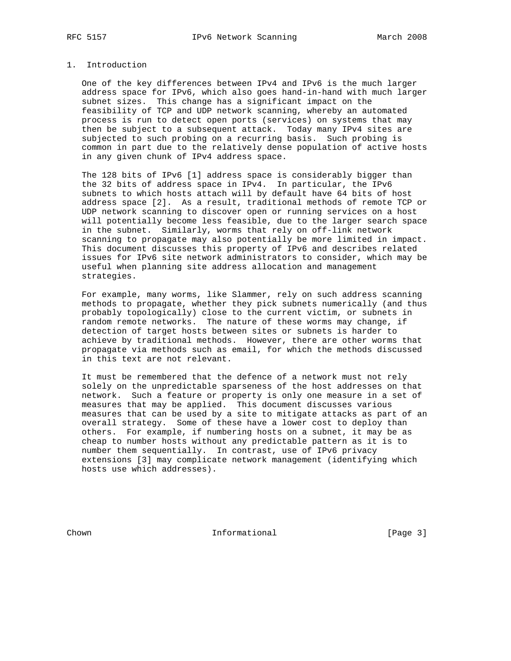# 1. Introduction

 One of the key differences between IPv4 and IPv6 is the much larger address space for IPv6, which also goes hand-in-hand with much larger subnet sizes. This change has a significant impact on the feasibility of TCP and UDP network scanning, whereby an automated process is run to detect open ports (services) on systems that may then be subject to a subsequent attack. Today many IPv4 sites are subjected to such probing on a recurring basis. Such probing is common in part due to the relatively dense population of active hosts in any given chunk of IPv4 address space.

 The 128 bits of IPv6 [1] address space is considerably bigger than the 32 bits of address space in IPv4. In particular, the IPv6 subnets to which hosts attach will by default have 64 bits of host address space [2]. As a result, traditional methods of remote TCP or UDP network scanning to discover open or running services on a host will potentially become less feasible, due to the larger search space in the subnet. Similarly, worms that rely on off-link network scanning to propagate may also potentially be more limited in impact. This document discusses this property of IPv6 and describes related issues for IPv6 site network administrators to consider, which may be useful when planning site address allocation and management strategies.

 For example, many worms, like Slammer, rely on such address scanning methods to propagate, whether they pick subnets numerically (and thus probably topologically) close to the current victim, or subnets in random remote networks. The nature of these worms may change, if detection of target hosts between sites or subnets is harder to achieve by traditional methods. However, there are other worms that propagate via methods such as email, for which the methods discussed in this text are not relevant.

 It must be remembered that the defence of a network must not rely solely on the unpredictable sparseness of the host addresses on that network. Such a feature or property is only one measure in a set of measures that may be applied. This document discusses various measures that can be used by a site to mitigate attacks as part of an overall strategy. Some of these have a lower cost to deploy than others. For example, if numbering hosts on a subnet, it may be as cheap to number hosts without any predictable pattern as it is to number them sequentially. In contrast, use of IPv6 privacy extensions [3] may complicate network management (identifying which hosts use which addresses).

Chown **Informational Informational** [Page 3]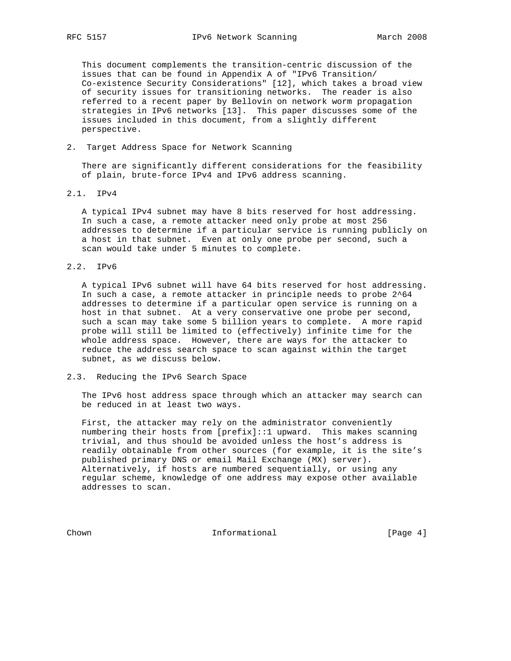This document complements the transition-centric discussion of the issues that can be found in Appendix A of "IPv6 Transition/ Co-existence Security Considerations" [12], which takes a broad view of security issues for transitioning networks. The reader is also referred to a recent paper by Bellovin on network worm propagation strategies in IPv6 networks [13]. This paper discusses some of the issues included in this document, from a slightly different perspective.

#### 2. Target Address Space for Network Scanning

 There are significantly different considerations for the feasibility of plain, brute-force IPv4 and IPv6 address scanning.

2.1. IPv4

 A typical IPv4 subnet may have 8 bits reserved for host addressing. In such a case, a remote attacker need only probe at most 256 addresses to determine if a particular service is running publicly on a host in that subnet. Even at only one probe per second, such a scan would take under 5 minutes to complete.

2.2. IPv6

 A typical IPv6 subnet will have 64 bits reserved for host addressing. In such a case, a remote attacker in principle needs to probe 2^64 addresses to determine if a particular open service is running on a host in that subnet. At a very conservative one probe per second, such a scan may take some 5 billion years to complete. A more rapid probe will still be limited to (effectively) infinite time for the whole address space. However, there are ways for the attacker to reduce the address search space to scan against within the target subnet, as we discuss below.

#### 2.3. Reducing the IPv6 Search Space

 The IPv6 host address space through which an attacker may search can be reduced in at least two ways.

 First, the attacker may rely on the administrator conveniently numbering their hosts from [prefix]::1 upward. This makes scanning trivial, and thus should be avoided unless the host's address is readily obtainable from other sources (for example, it is the site's published primary DNS or email Mail Exchange (MX) server). Alternatively, if hosts are numbered sequentially, or using any regular scheme, knowledge of one address may expose other available addresses to scan.

Chown **Informational Informational** [Page 4]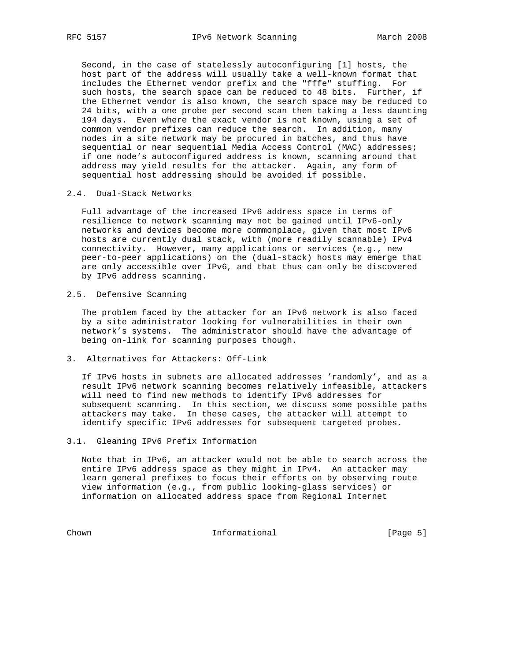Second, in the case of statelessly autoconfiguring [1] hosts, the host part of the address will usually take a well-known format that includes the Ethernet vendor prefix and the "fffe" stuffing. For such hosts, the search space can be reduced to 48 bits. Further, if the Ethernet vendor is also known, the search space may be reduced to 24 bits, with a one probe per second scan then taking a less daunting 194 days. Even where the exact vendor is not known, using a set of common vendor prefixes can reduce the search. In addition, many nodes in a site network may be procured in batches, and thus have sequential or near sequential Media Access Control (MAC) addresses; if one node's autoconfigured address is known, scanning around that address may yield results for the attacker. Again, any form of sequential host addressing should be avoided if possible.

#### 2.4. Dual-Stack Networks

 Full advantage of the increased IPv6 address space in terms of resilience to network scanning may not be gained until IPv6-only networks and devices become more commonplace, given that most IPv6 hosts are currently dual stack, with (more readily scannable) IPv4 connectivity. However, many applications or services (e.g., new peer-to-peer applications) on the (dual-stack) hosts may emerge that are only accessible over IPv6, and that thus can only be discovered by IPv6 address scanning.

2.5. Defensive Scanning

 The problem faced by the attacker for an IPv6 network is also faced by a site administrator looking for vulnerabilities in their own network's systems. The administrator should have the advantage of being on-link for scanning purposes though.

3. Alternatives for Attackers: Off-Link

 If IPv6 hosts in subnets are allocated addresses 'randomly', and as a result IPv6 network scanning becomes relatively infeasible, attackers will need to find new methods to identify IPv6 addresses for subsequent scanning. In this section, we discuss some possible paths attackers may take. In these cases, the attacker will attempt to identify specific IPv6 addresses for subsequent targeted probes.

### 3.1. Gleaning IPv6 Prefix Information

 Note that in IPv6, an attacker would not be able to search across the entire IPv6 address space as they might in IPv4. An attacker may learn general prefixes to focus their efforts on by observing route view information (e.g., from public looking-glass services) or information on allocated address space from Regional Internet

Chown Informational [Page 5]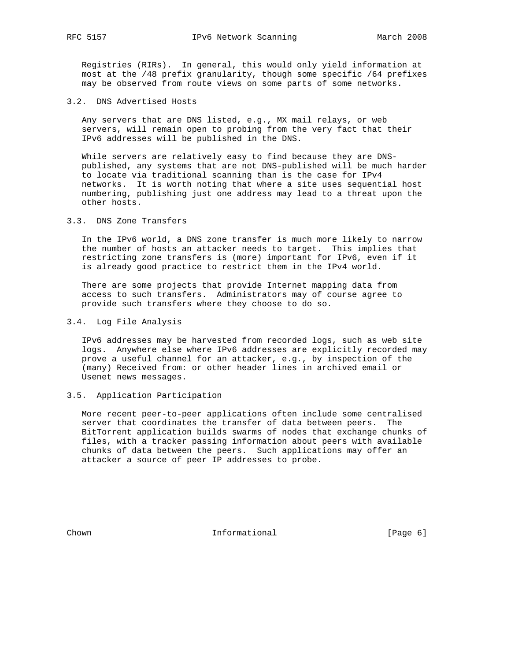Registries (RIRs). In general, this would only yield information at most at the /48 prefix granularity, though some specific /64 prefixes may be observed from route views on some parts of some networks.

#### 3.2. DNS Advertised Hosts

 Any servers that are DNS listed, e.g., MX mail relays, or web servers, will remain open to probing from the very fact that their IPv6 addresses will be published in the DNS.

While servers are relatively easy to find because they are DNS published, any systems that are not DNS-published will be much harder to locate via traditional scanning than is the case for IPv4 networks. It is worth noting that where a site uses sequential host numbering, publishing just one address may lead to a threat upon the other hosts.

3.3. DNS Zone Transfers

 In the IPv6 world, a DNS zone transfer is much more likely to narrow the number of hosts an attacker needs to target. This implies that restricting zone transfers is (more) important for IPv6, even if it is already good practice to restrict them in the IPv4 world.

 There are some projects that provide Internet mapping data from access to such transfers. Administrators may of course agree to provide such transfers where they choose to do so.

3.4. Log File Analysis

 IPv6 addresses may be harvested from recorded logs, such as web site logs. Anywhere else where IPv6 addresses are explicitly recorded may prove a useful channel for an attacker, e.g., by inspection of the (many) Received from: or other header lines in archived email or Usenet news messages.

#### 3.5. Application Participation

 More recent peer-to-peer applications often include some centralised server that coordinates the transfer of data between peers. The BitTorrent application builds swarms of nodes that exchange chunks of files, with a tracker passing information about peers with available chunks of data between the peers. Such applications may offer an attacker a source of peer IP addresses to probe.

Chown Informational [Page 6]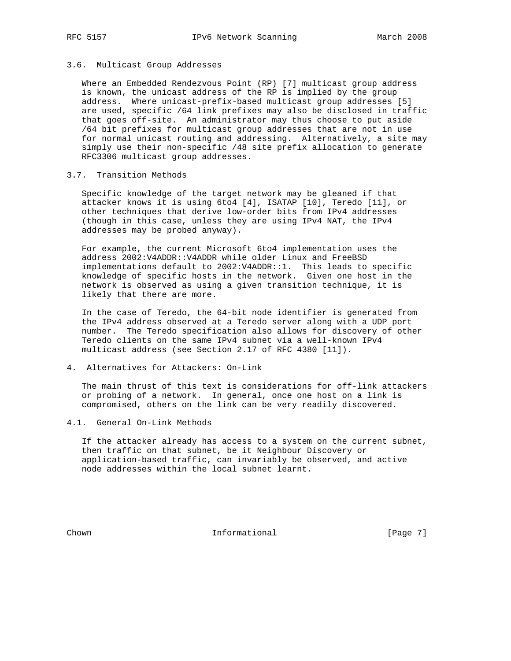#### 3.6. Multicast Group Addresses

 Where an Embedded Rendezvous Point (RP) [7] multicast group address is known, the unicast address of the RP is implied by the group address. Where unicast-prefix-based multicast group addresses [5] are used, specific /64 link prefixes may also be disclosed in traffic that goes off-site. An administrator may thus choose to put aside /64 bit prefixes for multicast group addresses that are not in use for normal unicast routing and addressing. Alternatively, a site may simply use their non-specific /48 site prefix allocation to generate RFC3306 multicast group addresses.

#### 3.7. Transition Methods

 Specific knowledge of the target network may be gleaned if that attacker knows it is using 6to4 [4], ISATAP [10], Teredo [11], or other techniques that derive low-order bits from IPv4 addresses (though in this case, unless they are using IPv4 NAT, the IPv4 addresses may be probed anyway).

 For example, the current Microsoft 6to4 implementation uses the address 2002:V4ADDR::V4ADDR while older Linux and FreeBSD implementations default to 2002:V4ADDR::1. This leads to specific knowledge of specific hosts in the network. Given one host in the network is observed as using a given transition technique, it is likely that there are more.

 In the case of Teredo, the 64-bit node identifier is generated from the IPv4 address observed at a Teredo server along with a UDP port number. The Teredo specification also allows for discovery of other Teredo clients on the same IPv4 subnet via a well-known IPv4 multicast address (see Section 2.17 of RFC 4380 [11]).

4. Alternatives for Attackers: On-Link

 The main thrust of this text is considerations for off-link attackers or probing of a network. In general, once one host on a link is compromised, others on the link can be very readily discovered.

4.1. General On-Link Methods

 If the attacker already has access to a system on the current subnet, then traffic on that subnet, be it Neighbour Discovery or application-based traffic, can invariably be observed, and active node addresses within the local subnet learnt.

Chown **Informational Informational** [Page 7]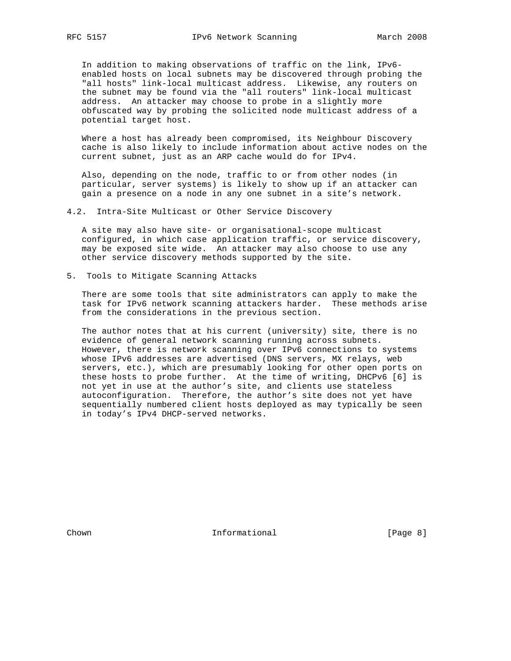In addition to making observations of traffic on the link, IPv6 enabled hosts on local subnets may be discovered through probing the "all hosts" link-local multicast address. Likewise, any routers on the subnet may be found via the "all routers" link-local multicast address. An attacker may choose to probe in a slightly more obfuscated way by probing the solicited node multicast address of a potential target host.

 Where a host has already been compromised, its Neighbour Discovery cache is also likely to include information about active nodes on the current subnet, just as an ARP cache would do for IPv4.

 Also, depending on the node, traffic to or from other nodes (in particular, server systems) is likely to show up if an attacker can gain a presence on a node in any one subnet in a site's network.

4.2. Intra-Site Multicast or Other Service Discovery

 A site may also have site- or organisational-scope multicast configured, in which case application traffic, or service discovery, may be exposed site wide. An attacker may also choose to use any other service discovery methods supported by the site.

5. Tools to Mitigate Scanning Attacks

 There are some tools that site administrators can apply to make the task for IPv6 network scanning attackers harder. These methods arise from the considerations in the previous section.

 The author notes that at his current (university) site, there is no evidence of general network scanning running across subnets. However, there is network scanning over IPv6 connections to systems whose IPv6 addresses are advertised (DNS servers, MX relays, web servers, etc.), which are presumably looking for other open ports on these hosts to probe further. At the time of writing, DHCPv6 [6] is not yet in use at the author's site, and clients use stateless autoconfiguration. Therefore, the author's site does not yet have sequentially numbered client hosts deployed as may typically be seen in today's IPv4 DHCP-served networks.

Chown **Informational Informational** [Page 8]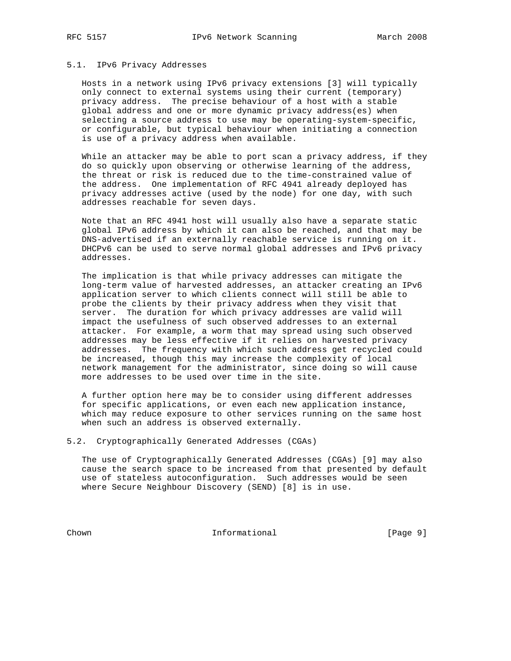#### 5.1. IPv6 Privacy Addresses

 Hosts in a network using IPv6 privacy extensions [3] will typically only connect to external systems using their current (temporary) privacy address. The precise behaviour of a host with a stable global address and one or more dynamic privacy address(es) when selecting a source address to use may be operating-system-specific, or configurable, but typical behaviour when initiating a connection is use of a privacy address when available.

 While an attacker may be able to port scan a privacy address, if they do so quickly upon observing or otherwise learning of the address, the threat or risk is reduced due to the time-constrained value of the address. One implementation of RFC 4941 already deployed has privacy addresses active (used by the node) for one day, with such addresses reachable for seven days.

 Note that an RFC 4941 host will usually also have a separate static global IPv6 address by which it can also be reached, and that may be DNS-advertised if an externally reachable service is running on it. DHCPv6 can be used to serve normal global addresses and IPv6 privacy addresses.

 The implication is that while privacy addresses can mitigate the long-term value of harvested addresses, an attacker creating an IPv6 application server to which clients connect will still be able to probe the clients by their privacy address when they visit that server. The duration for which privacy addresses are valid will impact the usefulness of such observed addresses to an external attacker. For example, a worm that may spread using such observed addresses may be less effective if it relies on harvested privacy addresses. The frequency with which such address get recycled could be increased, though this may increase the complexity of local network management for the administrator, since doing so will cause more addresses to be used over time in the site.

 A further option here may be to consider using different addresses for specific applications, or even each new application instance, which may reduce exposure to other services running on the same host when such an address is observed externally.

5.2. Cryptographically Generated Addresses (CGAs)

 The use of Cryptographically Generated Addresses (CGAs) [9] may also cause the search space to be increased from that presented by default use of stateless autoconfiguration. Such addresses would be seen where Secure Neighbour Discovery (SEND) [8] is in use.

Chown Informational [Page 9]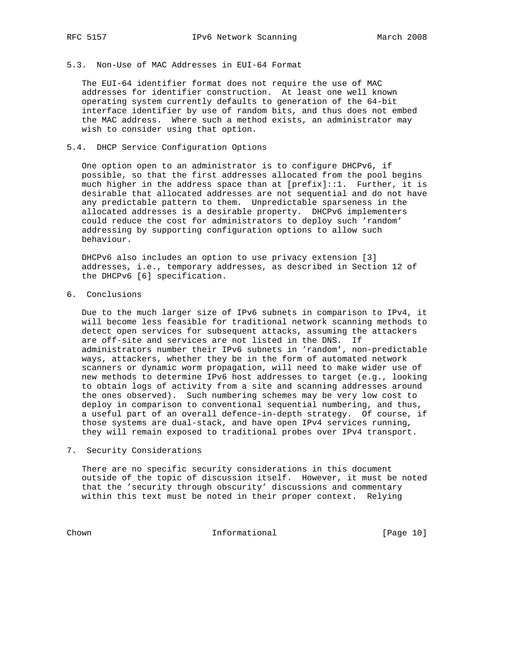# 5.3. Non-Use of MAC Addresses in EUI-64 Format

 The EUI-64 identifier format does not require the use of MAC addresses for identifier construction. At least one well known operating system currently defaults to generation of the 64-bit interface identifier by use of random bits, and thus does not embed the MAC address. Where such a method exists, an administrator may wish to consider using that option.

## 5.4. DHCP Service Configuration Options

 One option open to an administrator is to configure DHCPv6, if possible, so that the first addresses allocated from the pool begins much higher in the address space than at [prefix]::1. Further, it is desirable that allocated addresses are not sequential and do not have any predictable pattern to them. Unpredictable sparseness in the allocated addresses is a desirable property. DHCPv6 implementers could reduce the cost for administrators to deploy such 'random' addressing by supporting configuration options to allow such behaviour.

 DHCPv6 also includes an option to use privacy extension [3] addresses, i.e., temporary addresses, as described in Section 12 of the DHCPv6 [6] specification.

6. Conclusions

 Due to the much larger size of IPv6 subnets in comparison to IPv4, it will become less feasible for traditional network scanning methods to detect open services for subsequent attacks, assuming the attackers are off-site and services are not listed in the DNS. If administrators number their IPv6 subnets in 'random', non-predictable ways, attackers, whether they be in the form of automated network scanners or dynamic worm propagation, will need to make wider use of new methods to determine IPv6 host addresses to target (e.g., looking to obtain logs of activity from a site and scanning addresses around the ones observed). Such numbering schemes may be very low cost to deploy in comparison to conventional sequential numbering, and thus, a useful part of an overall defence-in-depth strategy. Of course, if those systems are dual-stack, and have open IPv4 services running, they will remain exposed to traditional probes over IPv4 transport.

#### 7. Security Considerations

 There are no specific security considerations in this document outside of the topic of discussion itself. However, it must be noted that the 'security through obscurity' discussions and commentary within this text must be noted in their proper context. Relying

Chown Informational [Page 10]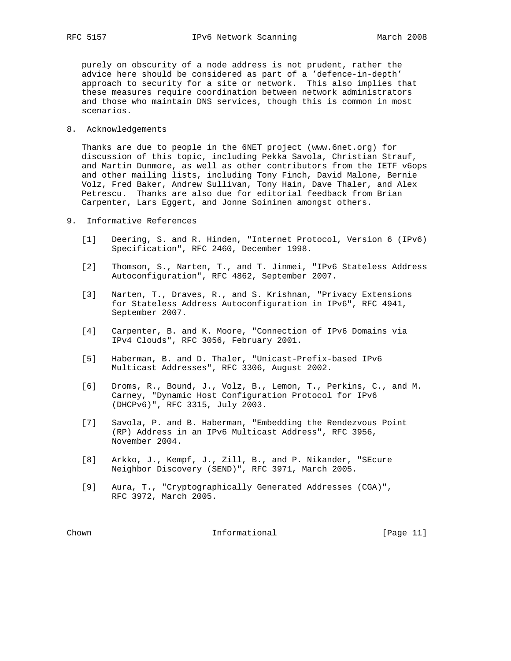purely on obscurity of a node address is not prudent, rather the advice here should be considered as part of a 'defence-in-depth' approach to security for a site or network. This also implies that these measures require coordination between network administrators and those who maintain DNS services, though this is common in most scenarios.

8. Acknowledgements

 Thanks are due to people in the 6NET project (www.6net.org) for discussion of this topic, including Pekka Savola, Christian Strauf, and Martin Dunmore, as well as other contributors from the IETF v6ops and other mailing lists, including Tony Finch, David Malone, Bernie Volz, Fred Baker, Andrew Sullivan, Tony Hain, Dave Thaler, and Alex Petrescu. Thanks are also due for editorial feedback from Brian Carpenter, Lars Eggert, and Jonne Soininen amongst others.

- 9. Informative References
	- [1] Deering, S. and R. Hinden, "Internet Protocol, Version 6 (IPv6) Specification", RFC 2460, December 1998.
	- [2] Thomson, S., Narten, T., and T. Jinmei, "IPv6 Stateless Address Autoconfiguration", RFC 4862, September 2007.
	- [3] Narten, T., Draves, R., and S. Krishnan, "Privacy Extensions for Stateless Address Autoconfiguration in IPv6", RFC 4941, September 2007.
	- [4] Carpenter, B. and K. Moore, "Connection of IPv6 Domains via IPv4 Clouds", RFC 3056, February 2001.
	- [5] Haberman, B. and D. Thaler, "Unicast-Prefix-based IPv6 Multicast Addresses", RFC 3306, August 2002.
	- [6] Droms, R., Bound, J., Volz, B., Lemon, T., Perkins, C., and M. Carney, "Dynamic Host Configuration Protocol for IPv6 (DHCPv6)", RFC 3315, July 2003.
	- [7] Savola, P. and B. Haberman, "Embedding the Rendezvous Point (RP) Address in an IPv6 Multicast Address", RFC 3956, November 2004.
	- [8] Arkko, J., Kempf, J., Zill, B., and P. Nikander, "SEcure Neighbor Discovery (SEND)", RFC 3971, March 2005.
	- [9] Aura, T., "Cryptographically Generated Addresses (CGA)", RFC 3972, March 2005.

Chown Informational [Page 11]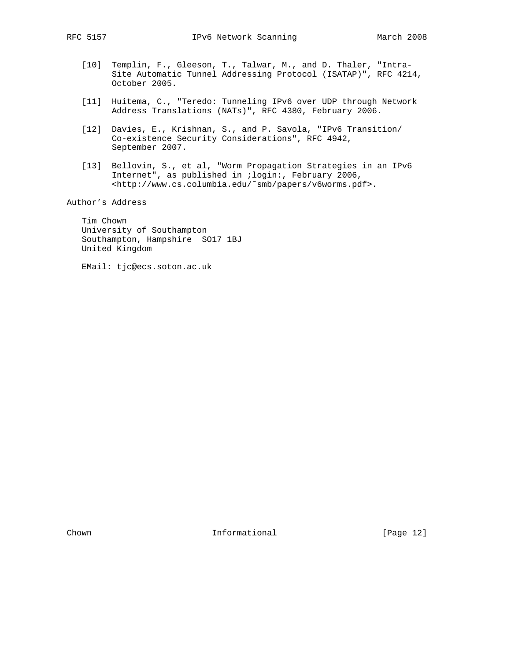- [10] Templin, F., Gleeson, T., Talwar, M., and D. Thaler, "Intra- Site Automatic Tunnel Addressing Protocol (ISATAP)", RFC 4214, October 2005.
- [11] Huitema, C., "Teredo: Tunneling IPv6 over UDP through Network Address Translations (NATs)", RFC 4380, February 2006.
- [12] Davies, E., Krishnan, S., and P. Savola, "IPv6 Transition/ Co-existence Security Considerations", RFC 4942, September 2007.
- [13] Bellovin, S., et al, "Worm Propagation Strategies in an IPv6 Internet", as published in ;login:, February 2006, <http://www.cs.columbia.edu/˜smb/papers/v6worms.pdf>.

Author's Address

 Tim Chown University of Southampton Southampton, Hampshire SO17 1BJ United Kingdom

EMail: tjc@ecs.soton.ac.uk

Chown **Informational Informational** [Page 12]